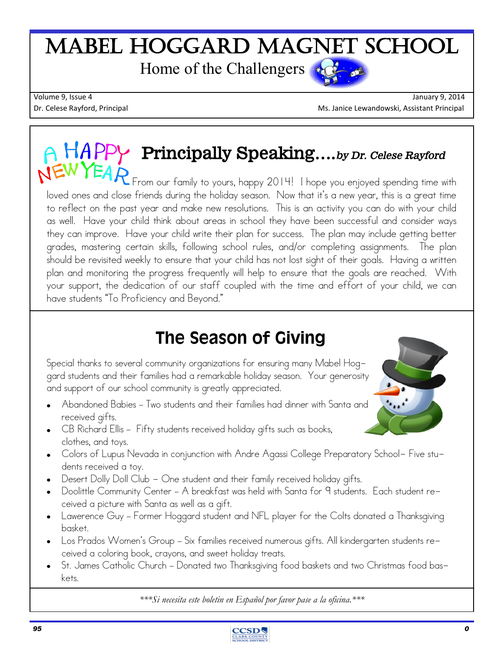## Mabel Hoggard Magnet School Home of the Challengers

Volume 9, Issue 4 January 9, 2014 Dr. Celese Rayford, Principal Ms. Janice Lewandowski, Assistant Principal Ms. Janice Lewandowski, Assistant Principal

# **Principally Speaking….***by Dr. Celese Rayford*

From our family to yours, happy 2014! I hope you enjoyed spending time with loved ones and close friends during the holiday season. Now that it's a new year, this is a great time to reflect on the past year and make new resolutions. This is an activity you can do with your child as well. Have your child think about areas in school they have been successful and consider ways they can improve. Have your child write their plan for success. The plan may include getting better grades, mastering certain skills, following school rules, and/or completing assignments. The plan should be revisited weekly to ensure that your child has not lost sight of their goals. Having a written plan and monitoring the progress frequently will help to ensure that the goals are reached. With your support, the dedication of our staff coupled with the time and effort of your child, we can have students "To Proficiency and Beyond."

### The Season of Giving

Special thanks to several community organizations for ensuring many Mabel Hoggard students and their families had a remarkable holiday season. Your generosity and support of our school community is greatly appreciated.

- Abandoned Babies Two students and their families had dinner with Santa and received gifts.
- CB Richard Ellis Fifty students received holiday gifts such as books, clothes, and toys.
- Colors of Lupus Nevada in conjunction with Andre Agassi College Preparatory School- Five students received a toy.
- Desert Dolly Doll Club One student and their family received holiday qifts.
- Doolittle Community Center A breakfast was held with Santa for 9 students. Each student received a picture with Santa as well as a gift.
- Lawerence Guy Former Hoggard student and NFL player for the Colts donated a Thanksgiving basket.
- Los Prados Women's Group Six families received numerous gifts. All kindergarten students received a coloring book, crayons, and sweet holiday treats.
- St. James Catholic Church Donated two Thanksgiving food baskets and two Christmas food baskets.

*\*\*\*Si necesita este boletin en Español por favor pase a la oficina.\*\*\**





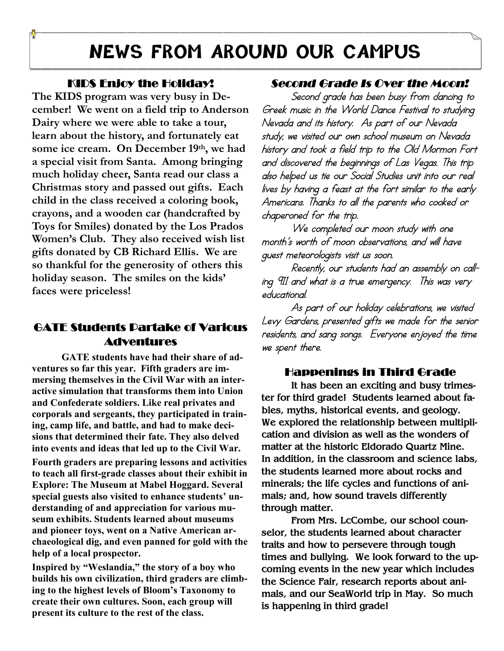### **NEWS FROM AROUND OUR CAMPUS**

#### **KIDS Enjoy the Holiday!**

Ĩ

**The KIDS program was very busy in December! We went on a field trip to Anderson Dairy where we were able to take a tour, learn about the history, and fortunately eat some ice cream. On December 19th, we had a special visit from Santa. Among bringing much holiday cheer, Santa read our class a Christmas story and passed out gifts. Each child in the class received a coloring book, crayons, and a wooden car (handcrafted by Toys for Smiles) donated by the Los Prados Women's Club. They also received wish list gifts donated by CB Richard Ellis. We are so thankful for the generosity of others this holiday season. The smiles on the kids' faces were priceless!**

#### **GATE Students Partake of Various Adventures**

**GATE students have had their share of adventures so far this year. Fifth graders are immersing themselves in the Civil War with an interactive simulation that transforms them into Union and Confederate soldiers. Like real privates and corporals and sergeants, they participated in training, camp life, and battle, and had to make decisions that determined their fate. They also delved into events and ideas that led up to the Civil War.**

**Fourth graders are preparing lessons and activities to teach all first-grade classes about their exhibit in Explore: The Museum at Mabel Hoggard. Several special guests also visited to enhance students' understanding of and appreciation for various museum exhibits. Students learned about museums and pioneer toys, went on a Native American archaeological dig, and even panned for gold with the help of a local prospector.**

**Inspired by "Weslandia," the story of a boy who builds his own civilization, third graders are climbing to the highest levels of Bloom's Taxonomy to create their own cultures. Soon, each group will present its culture to the rest of the class.**

#### *Second Grade Is Over the Moon!*

 Second grade has been busy from dancing to Greek music in the World Dance Festival to studying Nevada and its history. As part of our Nevada study, we visited our own school museum on Nevada history and took a field trip to the Old Mormon Fort and discovered the beginnings of Las Vegas. This trip also helped us tie our Social Studies unit into our real lives by having a feast at the fort similar to the early Americans. Thanks to all the parents who cooked or chaperoned for the trip.

We completed our moon study with one month's worth of moon observations, and will have guest meteorologists visit us soon.

 Recently, our students had an assembly on calling 911 and what is a true emergency. This was very educational.

 As part of our holiday celebrations, we visited Levy Gardens, presented gifts we made for the senior residents, and sang songs. Everyone enjoyed the time we spent there.

#### **Happenings in Third Grade**

 **It has been an exciting and busy trimester for third grade! Students learned about fables, myths, historical events, and geology. We explored the relationship between multiplication and division as well as the wonders of matter at the historic Eldorado Quartz Mine. In addition, in the classroom and science labs, the students learned more about rocks and minerals; the life cycles and functions of animals; and, how sound travels differently through matter.**

**From Mrs. LcCombe, our school counselor, the students learned about character traits and how to persevere through tough times and bullying. We look forward to the upcoming events in the new year which includes the Science Fair, research reports about animals, and our SeaWorld trip in May. So much is happening in third grade!**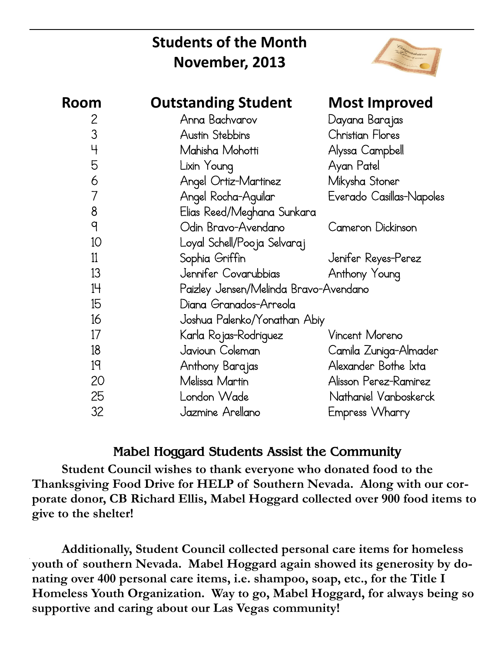### **Students of the Month November, 2013**



| <b>Room</b>    | <b>Outstanding Student</b>            | <b>Most Improved</b>     |
|----------------|---------------------------------------|--------------------------|
| 2              | Anna Bachvarov                        | Dayana Barajas           |
| 3              | Austin Stebbins                       | <b>Christian Flores</b>  |
| $\overline{4}$ | Mahisha Mohotti                       | Alyssa Campbell          |
| 5              | Lixin Young                           | Ayan Patel               |
| 6              | Angel Ortiz-Martinez                  | Mikysha Stoner           |
| 7              | Angel Rocha-Aguilar                   | Everado Casillas-Napoles |
| 8              | Elias Reed/Meghana Sunkara            |                          |
| 9              | Odin Bravo-Avendano                   | Cameron Dickinson        |
| 10             | Loyal Schell/Pooja Selvaraj           |                          |
| 11             | Sophia Griffin                        | Jenifer Reyes-Perez      |
| 13             | Jennifer Covarubbias                  | Anthony Young            |
| 14             | Paizley Jensen/Melinda Bravo-Avendano |                          |
| 15             | Diana Granados-Arreola                |                          |
| 16             | Joshua Palenko/Yonathan Abiy          |                          |
| 17             | Karla Rojas-Rodriguez                 | Vincent Moreno           |
| 18             | Javioun Coleman                       | Camila Zuniga-Almader    |
| 19             | Anthony Barajas                       | Alexander Bothe Ixta     |
| 20             | Melissa Martin                        | Alisson Perez-Ramirez    |
| 25             | London Wade                           | Nathaniel Vanboskerck    |
| 32             | Jazmine Arellano                      | Empress Wharry           |

#### **Mabel Hoggard Students Assist the Community**

**Student Council wishes to thank everyone who donated food to the Thanksgiving Food Drive for HELP of Southern Nevada. Along with our corporate donor, CB Richard Ellis, Mabel Hoggard collected over 900 food items to give to the shelter!**

**Additionally, Student Council collected personal care items for homeless youth of southern Nevada. Mabel Hoggard again showed its generosity by donating over 400 personal care items, i.e. shampoo, soap, etc., for the Title I Homeless Youth Organization. Way to go, Mabel Hoggard, for always being so supportive and caring about our Las Vegas community!**